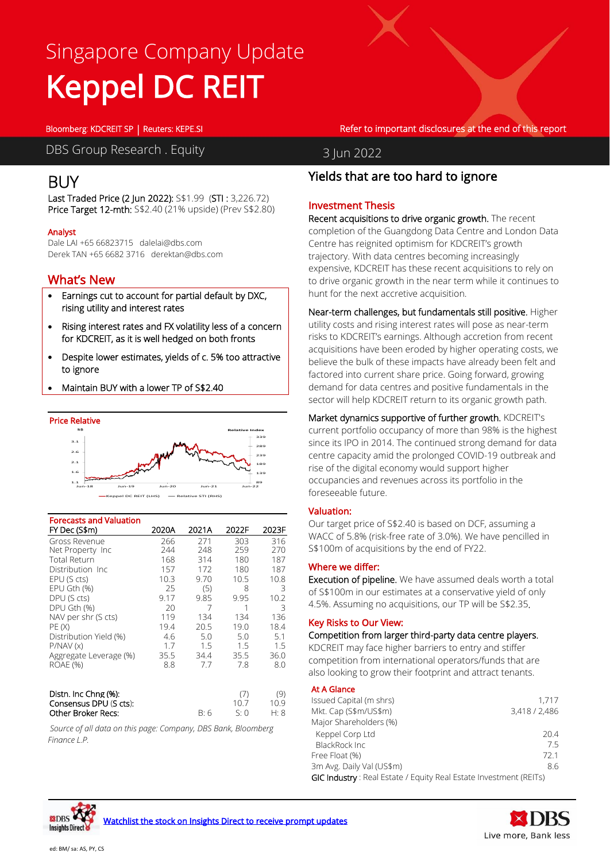# Singapore Company Update Keppel DC REIT

Bloomberg: KDCREIT SP | Reuters: KEPE.SI Refer to important disclosures at the end of this report

DBS Group Research . Equity 3 Jun 2022

# BUY

ł

Last Traded Price (2 Jun 2022): S\$1.99 (STI : 3,226.72) Price Target 12-mth: S\$2.40 (21% upside) (Prev S\$2.80)

### Analyst

Dale LAI +65 66823715 dalelai@dbs.com Derek TAN +65 6682 3716 derektan@dbs.com

### What's New

- Earnings cut to account for partial default by DXC, rising utility and interest rates
- Rising interest rates and FX volatility less of a concern for KDCREIT, as it is well hedged on both fronts
- Despite lower estimates, yields of c. 5% too attractive to ignore
- Maintain BUY with a lower TP of S\$2.40



| <b>Forecasts and Valuation</b>    |       |       |       |       |
|-----------------------------------|-------|-------|-------|-------|
| FY Dec (S\$m)                     | 2020A | 2021A | 2022F | 2023F |
| Gross Revenue                     | 266   | 271   | 303   | 316   |
| Net Property Inc                  | 244   | 248   | 259   | 270   |
| <b>Total Return</b>               | 168   | 314   | 180   | 187   |
| Distribution Inc                  | 157   | 172   | 180   | 187   |
| EPU (S cts)                       | 10.3  | 9.70  | 10.5  | 10.8  |
| EPU Gth (%)                       | 25    | (5)   | 8     | 3     |
| DPU (S cts)                       | 9.17  | 9.85  | 9.95  | 10.2  |
| DPU Gth (%)                       | 20    | 7     | 1     | 3     |
| NAV per shr (S cts)               | 119   | 134   | 134   | 136   |
| PE (X)                            | 19.4  | 20.5  | 19.0  | 18.4  |
| Distribution Yield (%)            | 4.6   | 5.0   | 5.0   | 5.1   |
| P/NAV(x)                          | 1.7   | 1.5   | 1.5   | 1.5   |
| Aggregate Leverage (%)            | 35.5  | 34.4  | 35.5  | 36.0  |
| <b>ROAE (%)</b>                   | 8.8   | 7.7   | 7.8   | 8.0   |
|                                   |       |       |       |       |
|                                   |       |       |       |       |
| Distn. Inc Chng (%):              |       |       | (7)   | (9)   |
| $Concancel{c}$ DDH $(S$ at $e$ ). |       |       | 107   | 1 N Q |

 $Consensus DPU (S cts): 10.7 10.9$ Other Broker Recs: B: 6 S: 0 H: 8

*Source of all data on this page: Company, DBS Bank, Bloomberg Finance L.P.*

### Yields that are too hard to ignore

### Investment Thesis

Recent acquisitions to drive organic growth. The recent completion of the Guangdong Data Centre and London Data Centre has reignited optimism for KDCREIT's growth trajectory. With data centres becoming increasingly expensive, KDCREIT has these recent acquisitions to rely on to drive organic growth in the near term while it continues to hunt for the next accretive acquisition.

Near-term challenges, but fundamentals still positive. Higher utility costs and rising interest rates will pose as near-term risks to KDCREIT's earnings. Although accretion from recent acquisitions have been eroded by higher operating costs, we believe the bulk of these impacts have already been felt and factored into current share price. Going forward, growing demand for data centres and positive fundamentals in the sector will help KDCREIT return to its organic growth path.

Market dynamics supportive of further growth. KDCREIT's current portfolio occupancy of more than 98% is the highest since its IPO in 2014. The continued strong demand for data centre capacity amid the prolonged COVID-19 outbreak and rise of the digital economy would support higher occupancies and revenues across its portfolio in the foreseeable future.

### Valuation:

Our target price of S\$2.40 is based on DCF, assuming a WACC of 5.8% (risk-free rate of 3.0%). We have pencilled in S\$100m of acquisitions by the end of FY22.

### Where we differ:

Execution of pipeline. We have assumed deals worth a total of S\$100m in our estimates at a conservative yield of only 4.5%. Assuming no acquisitions, our TP will be S\$2.35.

### Key Risks to Our View:

Competition from larger third-party data centre players.

KDCREIT may face higher barriers to entry and stiffer competition from international operators/funds that are also looking to grow their footprint and attract tenants.

### At A Glance

| Issued Capital (m shrs)                                           | 1.717         |
|-------------------------------------------------------------------|---------------|
| Mkt. Cap (S\$m/US\$m)                                             | 3,418 / 2,486 |
| Major Shareholders (%)                                            |               |
| Keppel Corp Ltd                                                   | 204           |
| BlackRock Inc                                                     | 75            |
| Free Float (%)                                                    | 721           |
| 3m Avg. Daily Val (US\$m)                                         | 8.6           |
| GIC Industry: Real Estate / Equity Real Estate Investment (REITs) |               |



**ESDBS** 

**Insights Direct**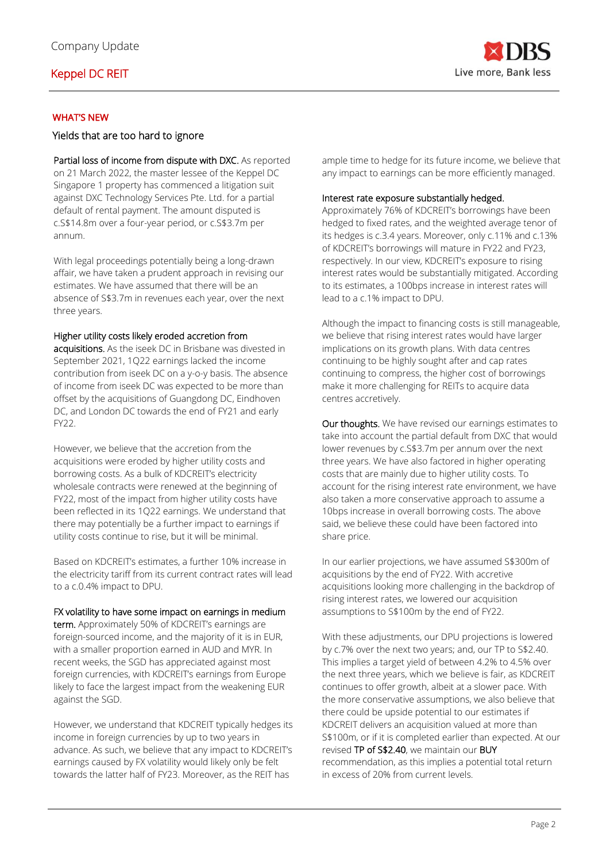

### WHAT'S NEW

### Yields that are too hard to ignore

Partial loss of income from dispute with DXC. As reported on 21 March 2022, the master lessee of the Keppel DC Singapore 1 property has commenced a litigation suit against DXC Technology Services Pte. Ltd. for a partial default of rental payment. The amount disputed is c.S\$14.8m over a four-year period, or c.S\$3.7m per annum.

With legal proceedings potentially being a long-drawn affair, we have taken a prudent approach in revising our estimates. We have assumed that there will be an absence of S\$3.7m in revenues each year, over the next three years.

### Higher utility costs likely eroded accretion from

acquisitions. As the iseek DC in Brisbane was divested in September 2021, 1Q22 earnings lacked the income contribution from iseek DC on a y-o-y basis. The absence of income from iseek DC was expected to be more than offset by the acquisitions of Guangdong DC, Eindhoven DC, and London DC towards the end of FY21 and early FY22.

However, we believe that the accretion from the acquisitions were eroded by higher utility costs and borrowing costs. As a bulk of KDCREIT's electricity wholesale contracts were renewed at the beginning of FY22, most of the impact from higher utility costs have been reflected in its 1Q22 earnings. We understand that there may potentially be a further impact to earnings if utility costs continue to rise, but it will be minimal.

Based on KDCREIT's estimates, a further 10% increase in the electricity tariff from its current contract rates will lead to a c.0.4% impact to DPU.

### FX volatility to have some impact on earnings in medium

term. Approximately 50% of KDCREIT's earnings are foreign-sourced income, and the majority of it is in EUR, with a smaller proportion earned in AUD and MYR. In recent weeks, the SGD has appreciated against most foreign currencies, with KDCREIT's earnings from Europe likely to face the largest impact from the weakening EUR against the SGD.

However, we understand that KDCREIT typically hedges its income in foreign currencies by up to two years in advance. As such, we believe that any impact to KDCREIT's earnings caused by FX volatility would likely only be felt towards the latter half of FY23. Moreover, as the REIT has

ample time to hedge for its future income, we believe that any impact to earnings can be more efficiently managed.

### Interest rate exposure substantially hedged.

Approximately 76% of KDCREIT's borrowings have been hedged to fixed rates, and the weighted average tenor of its hedges is c.3.4 years. Moreover, only c.11% and c.13% of KDCREIT's borrowings will mature in FY22 and FY23, respectively. In our view, KDCREIT's exposure to rising interest rates would be substantially mitigated. According to its estimates, a 100bps increase in interest rates will lead to a c.1% impact to DPU.

Although the impact to financing costs is still manageable, we believe that rising interest rates would have larger implications on its growth plans. With data centres continuing to be highly sought after and cap rates continuing to compress, the higher cost of borrowings make it more challenging for REITs to acquire data centres accretively.

Our thoughts. We have revised our earnings estimates to take into account the partial default from DXC that would lower revenues by c.S\$3.7m per annum over the next three years. We have also factored in higher operating costs that are mainly due to higher utility costs. To account for the rising interest rate environment, we have also taken a more conservative approach to assume a 10bps increase in overall borrowing costs. The above said, we believe these could have been factored into share price.

In our earlier projections, we have assumed S\$300m of acquisitions by the end of FY22. With accretive acquisitions looking more challenging in the backdrop of rising interest rates, we lowered our acquisition assumptions to S\$100m by the end of FY22.

With these adjustments, our DPU projections is lowered by c.7% over the next two years; and, our TP to S\$2.40. This implies a target yield of between 4.2% to 4.5% over the next three years, which we believe is fair, as KDCREIT continues to offer growth, albeit at a slower pace. With the more conservative assumptions, we also believe that there could be upside potential to our estimates if KDCREIT delivers an acquisition valued at more than S\$100m, or if it is completed earlier than expected. At our revised TP of S\$2.40, we maintain our BUY recommendation, as this implies a potential total return in excess of 20% from current levels.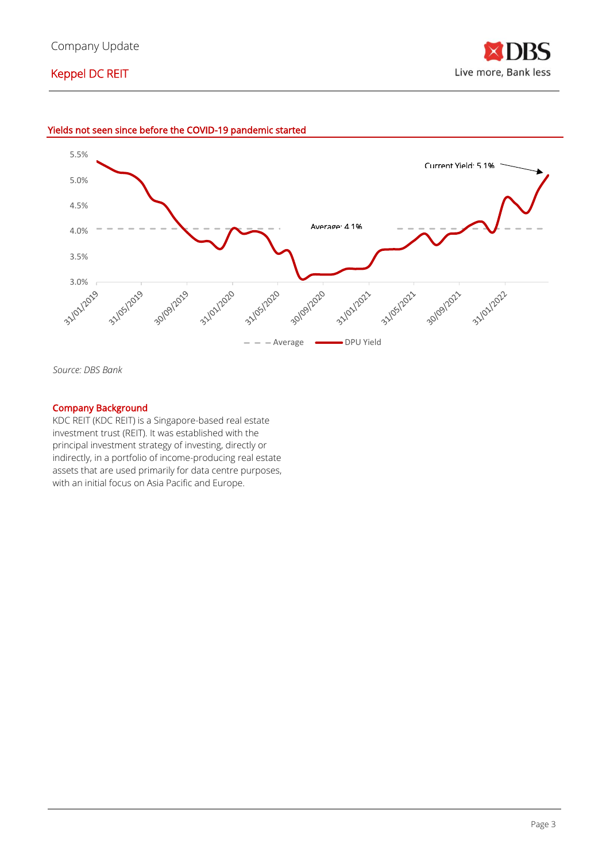





*Source: DBS Bank*

### Company Background

KDC REIT (KDC REIT) is a Singapore-based real estate investment trust (REIT). It was established with the principal investment strategy of investing, directly or indirectly, in a portfolio of income-producing real estate assets that are used primarily for data centre purposes, with an initial focus on Asia Pacific and Europe.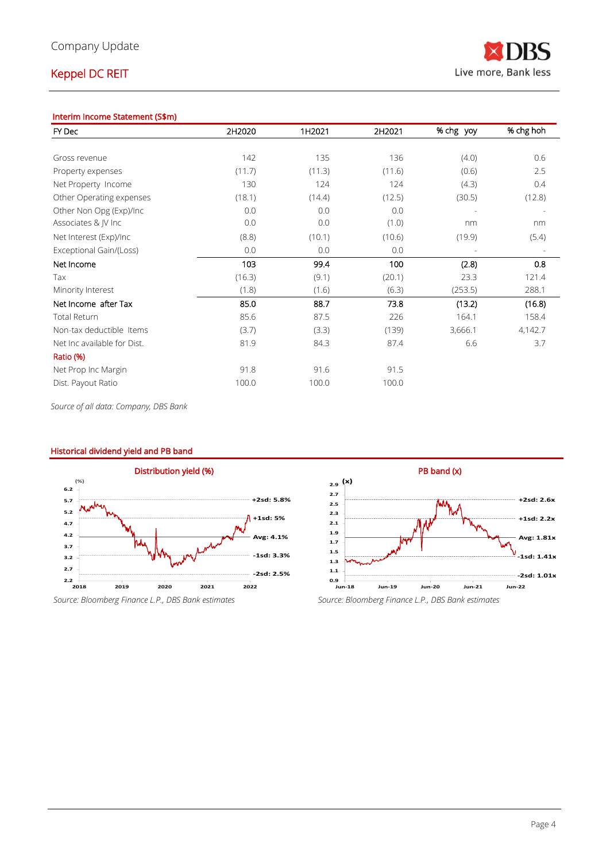### Interim Income Statement (S\$m)

| FY Dec                      | 2H2020 | 1H2021 | 2H2021 | % chg yoy                | % chg hoh |
|-----------------------------|--------|--------|--------|--------------------------|-----------|
|                             |        |        |        |                          |           |
| Gross revenue               | 142    | 135    | 136    | (4.0)                    | 0.6       |
| Property expenses           | (11.7) | (11.3) | (11.6) | (0.6)                    | 2.5       |
| Net Property Income         | 130    | 124    | 124    | (4.3)                    | 0.4       |
| Other Operating expenses    | (18.1) | (14.4) | (12.5) | (30.5)                   | (12.8)    |
| Other Non Opg (Exp)/Inc     | 0.0    | 0.0    | 0.0    | $\overline{\phantom{a}}$ |           |
| Associates & JV Inc         | 0.0    | 0.0    | (1.0)  | nm                       | nm        |
| Net Interest (Exp)/Inc      | (8.8)  | (10.1) | (10.6) | (19.9)                   | (5.4)     |
| Exceptional Gain/(Loss)     | 0.0    | 0.0    | 0.0    |                          |           |
| Net Income                  | 103    | 99.4   | 100    | (2.8)                    | 0.8       |
| Tax                         | (16.3) | (9.1)  | (20.1) | 23.3                     | 121.4     |
| Minority Interest           | (1.8)  | (1.6)  | (6.3)  | (253.5)                  | 288.1     |
| Net Income after Tax        | 85.0   | 88.7   | 73.8   | (13.2)                   | (16.8)    |
| <b>Total Return</b>         | 85.6   | 87.5   | 226    | 164.1                    | 158.4     |
| Non-tax deductible Items    | (3.7)  | (3.3)  | (139)  | 3,666.1                  | 4,142.7   |
| Net Inc available for Dist. | 81.9   | 84.3   | 87.4   | 6.6                      | 3.7       |
| Ratio (%)                   |        |        |        |                          |           |
| Net Prop Inc Margin         | 91.8   | 91.6   | 91.5   |                          |           |
| Dist. Payout Ratio          | 100.0  | 100.0  | 100.0  |                          |           |

*Source of all data: Company, DBS Bank*

### Historical dividend yield and PB band





*Source: Bloomberg Finance L.P., DBS Bank estimates Source: Bloomberg Finance L.P., DBS Bank estimates*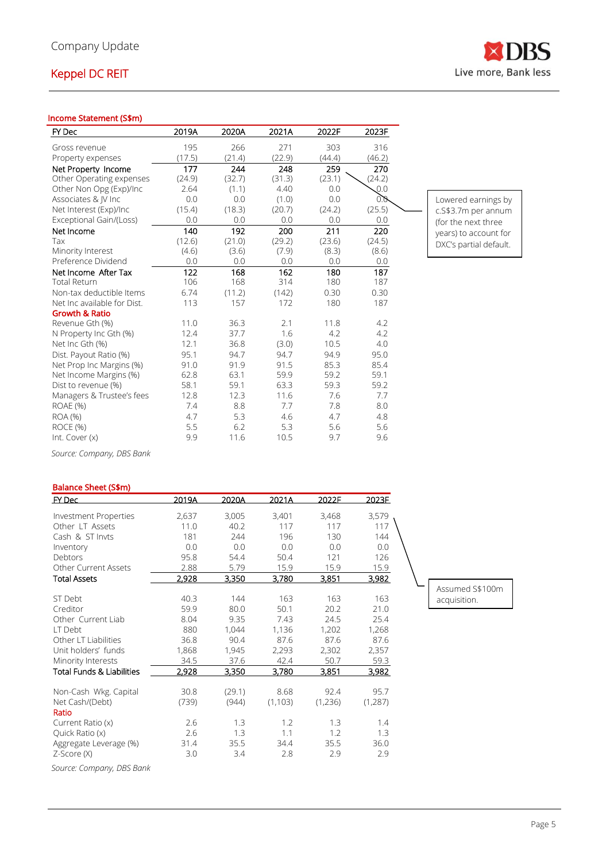### Income Statement (S\$m)

| FY Dec                      | 2019A  | 2020A  | 2021A  | 2022F  | 2023F            |                        |
|-----------------------------|--------|--------|--------|--------|------------------|------------------------|
| Gross revenue               | 195    | 266    | 271    | 303    | 316              |                        |
| Property expenses           | (17.5) | (21.4) | (22.9) | (44.4) | (46.2)           |                        |
| Net Property Income         | 177    | 244    | 248    | 259    | 270              |                        |
| Other Operating expenses    | (24.9) | (32.7) | (31.3) | (23.1) | (24.2)           |                        |
| Other Non Opg (Exp)/Inc     | 2.64   | (1.1)  | 4.40   | 0.0    | $\mathcal{Q}$ .0 |                        |
| Associates & JV Inc         | 0.0    | 0.0    | (1.0)  | 0.0    | 0.0              | Lowered earnings by    |
| Net Interest (Exp)/Inc      | (15.4) | (18.3) | (20.7) | (24.2) | (25.5)           | c.S\$3.7m per annum    |
| Exceptional Gain/(Loss)     | 0.0    | 0.0    | 0.0    | 0.0    | 0.0              | (for the next three    |
| Net Income                  | 140    | 192    | 200    | 211    | 220              | years) to account for  |
| Tax                         | (12.6) | (21.0) | (29.2) | (23.6) | (24.5)           | DXC's partial default. |
| Minority Interest           | (4.6)  | (3.6)  | (7.9)  | (8.3)  | (8.6)            |                        |
| Preference Dividend         | 0.0    | 0.0    | 0.0    | 0.0    | 0.0              |                        |
| Net Income After Tax        | 122    | 168    | 162    | 180    | 187              |                        |
| <b>Total Return</b>         | 106    | 168    | 314    | 180    | 187              |                        |
| Non-tax deductible Items    | 6.74   | (11.2) | (142)  | 0.30   | 0.30             |                        |
| Net Inc available for Dist. | 113    | 157    | 172    | 180    | 187              |                        |
| <b>Growth &amp; Ratio</b>   |        |        |        |        |                  |                        |
| Revenue Gth (%)             | 11.0   | 36.3   | 2.1    | 11.8   | 4.2              |                        |
| N Property Inc Gth (%)      | 12.4   | 37.7   | 1.6    | 4.2    | 4.2              |                        |
| Net Inc Gth (%)             | 12.1   | 36.8   | (3.0)  | 10.5   | 4.0              |                        |
| Dist. Payout Ratio (%)      | 95.1   | 94.7   | 94.7   | 94.9   | 95.0             |                        |
| Net Prop Inc Margins (%)    | 91.0   | 91.9   | 91.5   | 85.3   | 85.4             |                        |
| Net Income Margins (%)      | 62.8   | 63.1   | 59.9   | 59.2   | 59.1             |                        |
| Dist to revenue (%)         | 58.1   | 59.1   | 63.3   | 59.3   | 59.2             |                        |
| Managers & Trustee's fees   | 12.8   | 12.3   | 11.6   | 7.6    | 7.7              |                        |
| <b>ROAE (%)</b>             | 7.4    | 8.8    | 7.7    | 7.8    | 8.0              |                        |
| ROA (%)                     | 4.7    | 5.3    | 4.6    | 4.7    | 4.8              |                        |
| ROCE (%)                    | 5.5    | 6.2    | 5.3    | 5.6    | 5.6              |                        |
| Int. Cover (x)              | 9.9    | 11.6   | 10.5   | 9.7    | 9.6              |                        |

*Source: Company, DBS Bank*

### Balance Sheet (S\$m)

| $EY$ Dec                             | 2019A | 2020A  | 2021A    | 2022F   | 2023F         |
|--------------------------------------|-------|--------|----------|---------|---------------|
| <b>Investment Properties</b>         | 2,637 | 3,005  | 3,401    | 3,468   | 3,579         |
| Other LT Assets                      | 11.0  | 40.2   | 117      | 117     | 117           |
| Cash & ST Invts                      | 181   | 244    | 196      | 130     | 144           |
| Inventory                            | 0.0   | 0.0    | 0.0      | 0.0     | 0.0           |
| Debtors                              | 95.8  | 54.4   | 50.4     | 121     | 126           |
| <b>Other Current Assets</b>          | 2.88  | 5.79   | 15.9     | 15.9    | 15.9          |
| <b>Total Assets</b>                  | 2,928 | 3,350  | 3,780    | 3,851   | <u>3,982 </u> |
|                                      |       |        |          |         |               |
| ST Debt                              | 40.3  | 144    | 163      | 163     | 163           |
| Creditor                             | 59.9  | 80.0   | 50.1     | 20.2    | 21.0          |
| Other Current Liab                   | 8.04  | 9.35   | 7.43     | 24.5    | 25.4          |
| I T Debt                             | 880   | 1,044  | 1,136    | 1,202   | 1,268         |
| Other LT Liabilities                 | 36.8  | 90.4   | 87.6     | 87.6    | 87.6          |
| Unit holders' funds                  | 1,868 | 1,945  | 2,293    | 2,302   | 2,357         |
| Minority Interests                   | 34.5  | 37.6   | 42.4     | 50.7    | 59.3          |
| <b>Total Funds &amp; Liabilities</b> | 2,928 | 3,350  | 3,780    | 3,851   | <u>3,982</u>  |
| Non-Cash Wkg. Capital                | 30.8  | (29.1) | 8.68     | 92.4    | 95.7          |
| Net Cash/(Debt)                      | (739) | (944)  | (1, 103) | (1,236) | (1, 287)      |
| Ratio                                |       |        |          |         |               |
| Current Ratio (x)                    | 2.6   | 1.3    | 1.2      | 1.3     | 1.4           |
| Quick Ratio (x)                      | 2.6   | 1.3    | 1.1      | 1.2     | 1.3           |
| Aggregate Leverage (%)               | 31.4  | 35.5   | 34.4     | 35.5    | 36.0          |
| Z-Score (X)                          | 3.0   | 3.4    | 2.8      | 2.9     | 2.9           |

*Source: Company, DBS Bank*

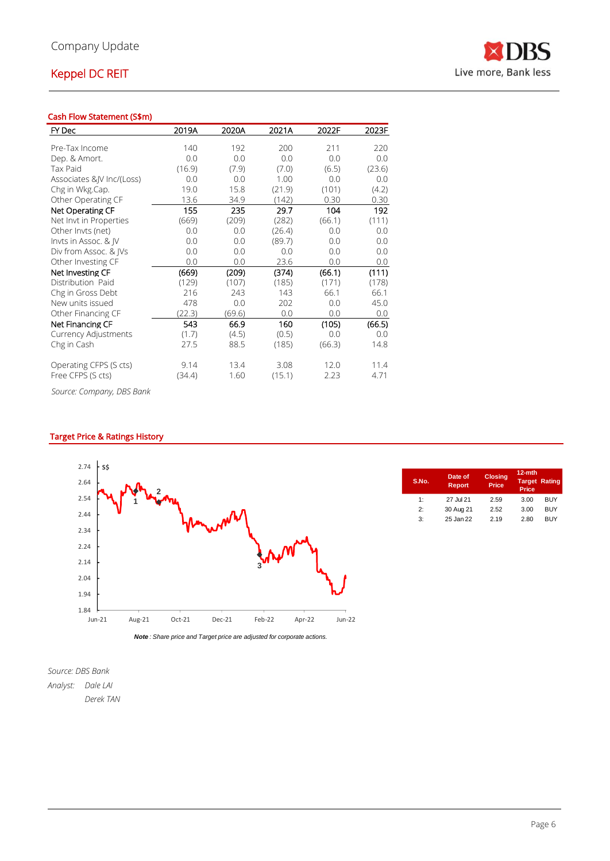### Cash Flow Statement (S\$m)

| FY Dec                    | 2019A  | 2020A  | 2021A  | 2022F  | 2023F  |
|---------------------------|--------|--------|--------|--------|--------|
| Pre-Tax Income            | 140    | 192    | 200    | 211    | 220    |
|                           |        |        |        | 0.0    |        |
| Dep. & Amort.             | 0.0    | 0.0    | 0.0    |        | 0.0    |
| <b>Tax Paid</b>           | (16.9) | (7.9)  | (7.0)  | (6.5)  | (23.6) |
| Associates & V Inc/(Loss) | 0.0    | 0.0    | 1.00   | 0.0    | 0.0    |
| Chg in Wkg.Cap.           | 19.0   | 15.8   | (21.9) | (101)  | (4.2)  |
| Other Operating CF        | 13.6   | 34.9   | (142)  | 0.30   | 0.30   |
| Net Operating CF          | 155    | 235    | 29.7   | 104    | 192    |
| Net Invt in Properties    | (669)  | (209)  | (282)  | (66.1) | (111)  |
| Other Invts (net)         | 0.0    | 0.0    | (26.4) | 0.0    | 0.0    |
| Invts in Assoc. & IV      | 0.0    | 0.0    | (89.7) | 0.0    | 0.0    |
| Div from Assoc. & IVs     | 0.0    | 0.0    | 0.0    | 0.0    | 0.0    |
| Other Investing CF        | 0.0    | 0.0    | 23.6   | 0.0    | 0.0    |
| Net Investing CF          | (669)  | (209)  | (374)  | (66.1) | (111)  |
| Distribution Paid         | (129)  | (107)  | (185)  | (171)  | (178)  |
| Chg in Gross Debt         | 216    | 243    | 143    | 66.1   | 66.1   |
| New units issued          | 478    | 0.0    | 202    | 0.0    | 45.0   |
| Other Financing CF        | (22.3) | (69.6) | 0.0    | 0.0    | 0.0    |
| Net Financing CF          | 543    | 66.9   | 160    | (105)  | (66.5) |
| Currency Adjustments      | (1.7)  | (4.5)  | (0.5)  | 0.0    | 0.0    |
| Chg in Cash               | 27.5   | 88.5   | (185)  | (66.3) | 14.8   |
| Operating CFPS (S cts)    | 9.14   | 13.4   | 3.08   | 12.0   | 11.4   |
| Free CFPS (S cts)         | (34.4) | 1.60   | (15.1) | 2.23   | 4.71   |

*Source: Company, DBS Bank*

### Target Price & Ratings History



| S.No.                       | Date of<br>Report | <b>Closing</b><br><b>Price</b> | $12-$ mth<br><b>Target Rating</b><br>Price |            |
|-----------------------------|-------------------|--------------------------------|--------------------------------------------|------------|
| 1:                          | 27 Jul 21         | 2.59                           | 3.00                                       | BUY        |
| $\mathcal{P}^{\mathcal{P}}$ | 30 Aug 21         | 2.52                           | 3.00                                       | <b>BUY</b> |
| 3:                          | 25 Jan 22         | 2.19                           | 2.80                                       | <b>BUY</b> |
|                             |                   |                                |                                            |            |

*Source: DBS Bank*

*Analyst: Dale LAI Derek TAN*

RS N Live more, Bank less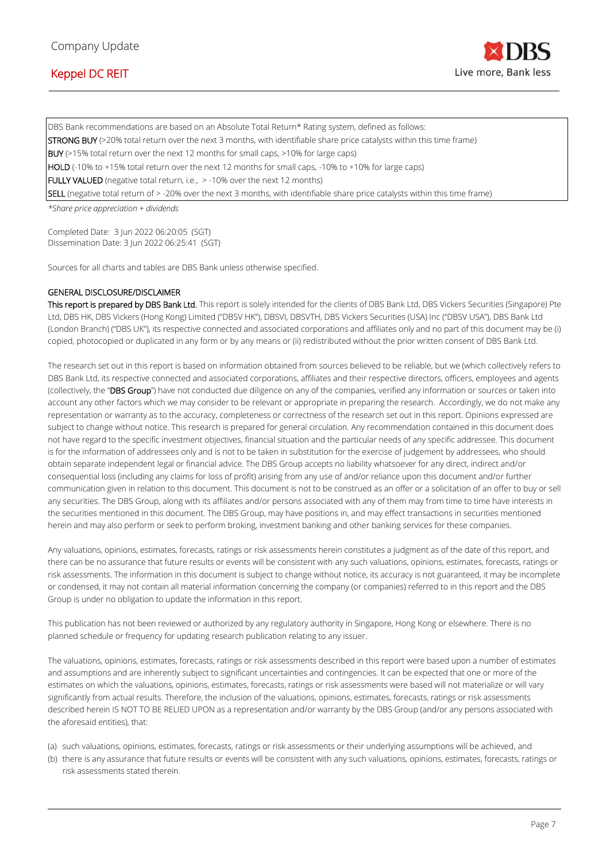

DBS Bank recommendations are based on an Absolute Total Return\* Rating system, defined as follows: STRONG BUY (>20% total return over the next 3 months, with identifiable share price catalysts within this time frame) BUY (>15% total return over the next 12 months for small caps, >10% for large caps) HOLD (-10% to +15% total return over the next 12 months for small caps, -10% to +10% for large caps) FULLY VALUED (negative total return, i.e., > -10% over the next 12 months) SELL (negative total return of > -20% over the next 3 months, with identifiable share price catalysts within this time frame)

*\*Share price appreciation + dividends*

Completed Date: 3 Jun 2022 06:20:05 (SGT) Dissemination Date: 3 Jun 2022 06:25:41 (SGT)

Sources for all charts and tables are DBS Bank unless otherwise specified.

#### GENERAL DISCLOSURE/DISCLAIMER

This report is prepared by DBS Bank Ltd. This report is solely intended for the clients of DBS Bank Ltd, DBS Vickers Securities (Singapore) Pte Ltd, DBS HK, DBS Vickers (Hong Kong) Limited ("DBSV HK"), DBSVI, DBSVTH, DBS Vickers Securities (USA) Inc ("DBSV USA"), DBS Bank Ltd (London Branch) ("DBS UK"), its respective connected and associated corporations and affiliates only and no part of this document may be (i) copied, photocopied or duplicated in any form or by any means or (ii) redistributed without the prior written consent of DBS Bank Ltd.

The research set out in this report is based on information obtained from sources believed to be reliable, but we (which collectively refers to DBS Bank Ltd, its respective connected and associated corporations, affiliates and their respective directors, officers, employees and agents (collectively, the "DBS Group") have not conducted due diligence on any of the companies, verified any information or sources or taken into account any other factors which we may consider to be relevant or appropriate in preparing the research. Accordingly, we do not make any representation or warranty as to the accuracy, completeness or correctness of the research set out in this report. Opinions expressed are subject to change without notice. This research is prepared for general circulation. Any recommendation contained in this document does not have regard to the specific investment objectives, financial situation and the particular needs of any specific addressee. This document is for the information of addressees only and is not to be taken in substitution for the exercise of judgement by addressees, who should obtain separate independent legal or financial advice. The DBS Group accepts no liability whatsoever for any direct, indirect and/or consequential loss (including any claims for loss of profit) arising from any use of and/or reliance upon this document and/or further communication given in relation to this document. This document is not to be construed as an offer or a solicitation of an offer to buy or sell any securities. The DBS Group, along with its affiliates and/or persons associated with any of them may from time to time have interests in the securities mentioned in this document. The DBS Group, may have positions in, and may effect transactions in securities mentioned herein and may also perform or seek to perform broking, investment banking and other banking services for these companies.

Any valuations, opinions, estimates, forecasts, ratings or risk assessments herein constitutes a judgment as of the date of this report, and there can be no assurance that future results or events will be consistent with any such valuations, opinions, estimates, forecasts, ratings or risk assessments. The information in this document is subject to change without notice, its accuracy is not guaranteed, it may be incomplete or condensed, it may not contain all material information concerning the company (or companies) referred to in this report and the DBS Group is under no obligation to update the information in this report.

This publication has not been reviewed or authorized by any regulatory authority in Singapore, Hong Kong or elsewhere. There is no planned schedule or frequency for updating research publication relating to any issuer.

The valuations, opinions, estimates, forecasts, ratings or risk assessments described in this report were based upon a number of estimates and assumptions and are inherently subject to significant uncertainties and contingencies. It can be expected that one or more of the estimates on which the valuations, opinions, estimates, forecasts, ratings or risk assessments were based will not materialize or will vary significantly from actual results. Therefore, the inclusion of the valuations, opinions, estimates, forecasts, ratings or risk assessments described herein IS NOT TO BE RELIED UPON as a representation and/or warranty by the DBS Group (and/or any persons associated with the aforesaid entities), that:

- (a) such valuations, opinions, estimates, forecasts, ratings or risk assessments or their underlying assumptions will be achieved, and
- (b) there is any assurance that future results or events will be consistent with any such valuations, opinions, estimates, forecasts, ratings or risk assessments stated therein.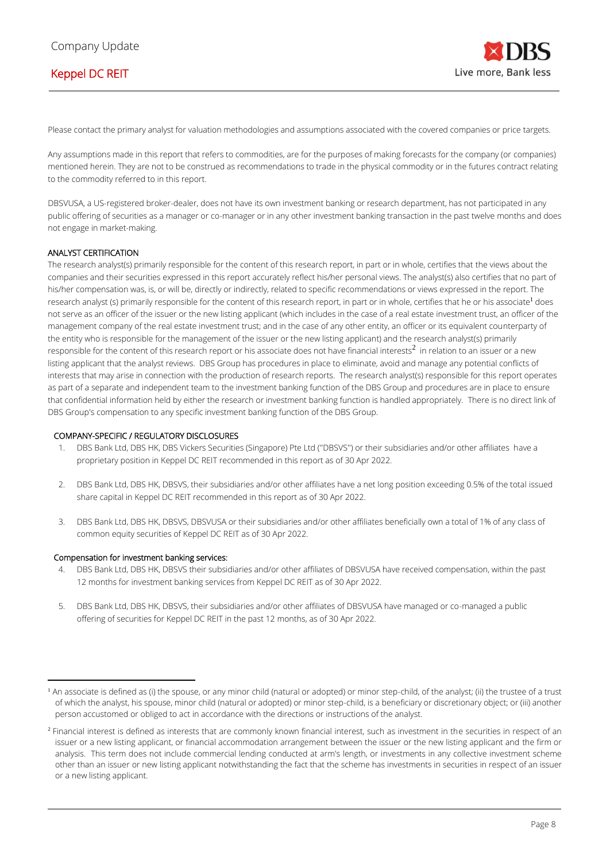Please contact the primary analyst for valuation methodologies and assumptions associated with the covered companies or price targets.

Any assumptions made in this report that refers to commodities, are for the purposes of making forecasts for the company (or companies) mentioned herein. They are not to be construed as recommendations to trade in the physical commodity or in the futures contract relating to the commodity referred to in this report.

DBSVUSA, a US-registered broker-dealer, does not have its own investment banking or research department, has not participated in any public offering of securities as a manager or co-manager or in any other investment banking transaction in the past twelve months and does not engage in market-making.

### ANALYST CERTIFICATION

The research analyst(s) primarily responsible for the content of this research report, in part or in whole, certifies that the views about the companies and their securities expressed in this report accurately reflect his/her personal views. The analyst(s) also certifies that no part of his/her compensation was, is, or will be, directly or indirectly, related to specific recommendations or views expressed in the report. The research analyst (s) primarily responsible for the content of this research report, in part or in whole, certifies that he or his associate<sup>1</sup> does not serve as an officer of the issuer or the new listing applicant (which includes in the case of a real estate investment trust, an officer of the management company of the real estate investment trust; and in the case of any other entity, an officer or its equivalent counterparty of the entity who is responsible for the management of the issuer or the new listing applicant) and the research analyst(s) primarily responsible for the content of this research report or his associate does not have financial interests $^2$  in relation to an issuer or a new listing applicant that the analyst reviews. DBS Group has procedures in place to eliminate, avoid and manage any potential conflicts of interests that may arise in connection with the production of research reports. The research analyst(s) responsible for this report operates as part of a separate and independent team to the investment banking function of the DBS Group and procedures are in place to ensure that confidential information held by either the research or investment banking function is handled appropriately. There is no direct link of DBS Group's compensation to any specific investment banking function of the DBS Group.

#### COMPANY-SPECIFIC / REGULATORY DISCLOSURES

- 1. DBS Bank Ltd, DBS HK, DBS Vickers Securities (Singapore) Pte Ltd (''DBSVS'') or their subsidiaries and/or other affiliates have a proprietary position in Keppel DC REIT recommended in this report as of 30 Apr 2022.
- 2. DBS Bank Ltd, DBS HK, DBSVS, their subsidiaries and/or other affiliates have a net long position exceeding 0.5% of the total issued share capital in Keppel DC REIT recommended in this report as of 30 Apr 2022.
- 3. DBS Bank Ltd, DBS HK, DBSVS, DBSVUSA or their subsidiaries and/or other affiliates beneficially own a total of 1% of any class of common equity securities of Keppel DC REIT as of 30 Apr 2022.

#### Compensation for investment banking services:

- 4. DBS Bank Ltd, DBS HK, DBSVS their subsidiaries and/or other affiliates of DBSVUSA have received compensation, within the past 12 months for investment banking services from Keppel DC REIT as of 30 Apr 2022.
- 5. DBS Bank Ltd, DBS HK, DBSVS, their subsidiaries and/or other affiliates of DBSVUSA have managed or co-managed a public offering of securities for Keppel DC REIT in the past 12 months, as of 30 Apr 2022.

<sup>&</sup>lt;sup>1</sup> An associate is defined as (i) the spouse, or any minor child (natural or adopted) or minor step-child, of the analyst; (ii) the trustee of a trust of which the analyst, his spouse, minor child (natural or adopted) or minor step-child, is a beneficiary or discretionary object; or (iii) another person accustomed or obliged to act in accordance with the directions or instructions of the analyst.

<sup>&</sup>lt;sup>2</sup> Financial interest is defined as interests that are commonly known financial interest, such as investment in the securities in respect of an issuer or a new listing applicant, or financial accommodation arrangement between the issuer or the new listing applicant and the firm or analysis. This term does not include commercial lending conducted at arm's length, or investments in any collective investment scheme other than an issuer or new listing applicant notwithstanding the fact that the scheme has investments in securities in respect of an issuer or a new listing applicant.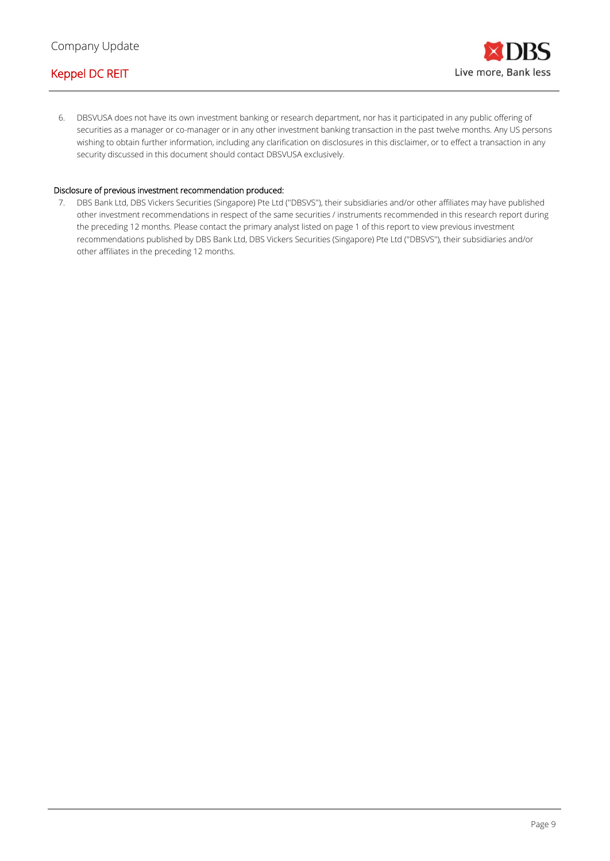6. DBSVUSA does not have its own investment banking or research department, nor has it participated in any public offering of securities as a manager or co-manager or in any other investment banking transaction in the past twelve months. Any US persons wishing to obtain further information, including any clarification on disclosures in this disclaimer, or to effect a transaction in any security discussed in this document should contact DBSVUSA exclusively.

### Disclosure of previous investment recommendation produced:

7. DBS Bank Ltd, DBS Vickers Securities (Singapore) Pte Ltd (''DBSVS''), their subsidiaries and/or other affiliates may have published other investment recommendations in respect of the same securities / instruments recommended in this research report during the preceding 12 months. Please contact the primary analyst listed on page 1 of this report to view previous investment recommendations published by DBS Bank Ltd, DBS Vickers Securities (Singapore) Pte Ltd (''DBSVS''), their subsidiaries and/or other affiliates in the preceding 12 months.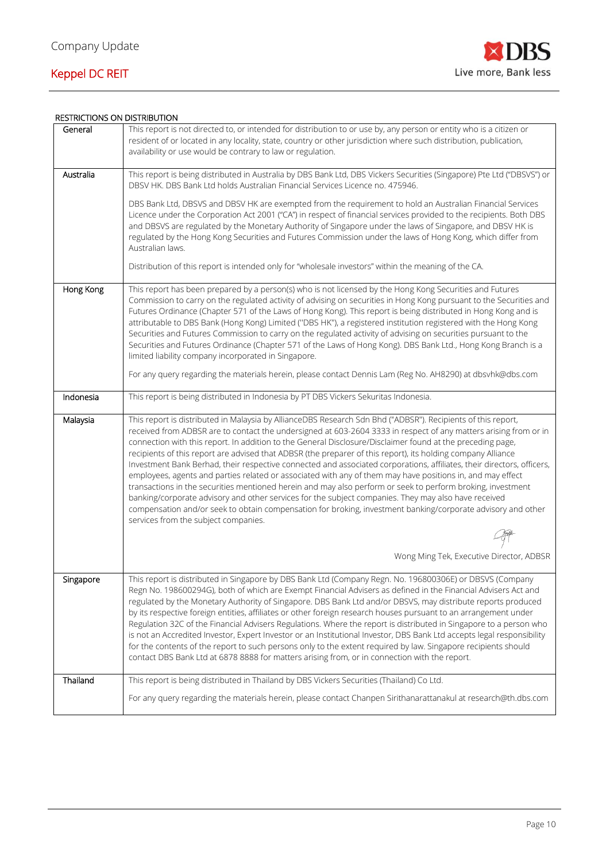

### RESTRICTIONS ON DISTRIBUTION

| General   | This report is not directed to, or intended for distribution to or use by, any person or entity who is a citizen or<br>resident of or located in any locality, state, country or other jurisdiction where such distribution, publication,<br>availability or use would be contrary to law or regulation.                                                                                                                                                                                                                                                                                                                                                                                                                                                                                                                                                                                                                                                                                                                                                                              |
|-----------|---------------------------------------------------------------------------------------------------------------------------------------------------------------------------------------------------------------------------------------------------------------------------------------------------------------------------------------------------------------------------------------------------------------------------------------------------------------------------------------------------------------------------------------------------------------------------------------------------------------------------------------------------------------------------------------------------------------------------------------------------------------------------------------------------------------------------------------------------------------------------------------------------------------------------------------------------------------------------------------------------------------------------------------------------------------------------------------|
| Australia | This report is being distributed in Australia by DBS Bank Ltd, DBS Vickers Securities (Singapore) Pte Ltd ("DBSVS") or<br>DBSV HK. DBS Bank Ltd holds Australian Financial Services Licence no. 475946.                                                                                                                                                                                                                                                                                                                                                                                                                                                                                                                                                                                                                                                                                                                                                                                                                                                                               |
|           | DBS Bank Ltd, DBSVS and DBSV HK are exempted from the requirement to hold an Australian Financial Services<br>Licence under the Corporation Act 2001 ("CA") in respect of financial services provided to the recipients. Both DBS<br>and DBSVS are regulated by the Monetary Authority of Singapore under the laws of Singapore, and DBSV HK is<br>regulated by the Hong Kong Securities and Futures Commission under the laws of Hong Kong, which differ from<br>Australian laws.                                                                                                                                                                                                                                                                                                                                                                                                                                                                                                                                                                                                    |
|           | Distribution of this report is intended only for "wholesale investors" within the meaning of the CA.                                                                                                                                                                                                                                                                                                                                                                                                                                                                                                                                                                                                                                                                                                                                                                                                                                                                                                                                                                                  |
| Hong Kong | This report has been prepared by a person(s) who is not licensed by the Hong Kong Securities and Futures<br>Commission to carry on the regulated activity of advising on securities in Hong Kong pursuant to the Securities and<br>Futures Ordinance (Chapter 571 of the Laws of Hong Kong). This report is being distributed in Hong Kong and is<br>attributable to DBS Bank (Hong Kong) Limited ("DBS HK"), a registered institution registered with the Hong Kong<br>Securities and Futures Commission to carry on the regulated activity of advising on securities pursuant to the<br>Securities and Futures Ordinance (Chapter 571 of the Laws of Hong Kong). DBS Bank Ltd., Hong Kong Branch is a<br>limited liability company incorporated in Singapore.                                                                                                                                                                                                                                                                                                                       |
|           | For any query regarding the materials herein, please contact Dennis Lam (Reg No. AH8290) at dbsvhk@dbs.com                                                                                                                                                                                                                                                                                                                                                                                                                                                                                                                                                                                                                                                                                                                                                                                                                                                                                                                                                                            |
| Indonesia | This report is being distributed in Indonesia by PT DBS Vickers Sekuritas Indonesia.                                                                                                                                                                                                                                                                                                                                                                                                                                                                                                                                                                                                                                                                                                                                                                                                                                                                                                                                                                                                  |
| Malaysia  | This report is distributed in Malaysia by AllianceDBS Research Sdn Bhd ("ADBSR"). Recipients of this report,<br>received from ADBSR are to contact the undersigned at 603-2604 3333 in respect of any matters arising from or in<br>connection with this report. In addition to the General Disclosure/Disclaimer found at the preceding page,<br>recipients of this report are advised that ADBSR (the preparer of this report), its holding company Alliance<br>Investment Bank Berhad, their respective connected and associated corporations, affiliates, their directors, officers,<br>employees, agents and parties related or associated with any of them may have positions in, and may effect<br>transactions in the securities mentioned herein and may also perform or seek to perform broking, investment<br>banking/corporate advisory and other services for the subject companies. They may also have received<br>compensation and/or seek to obtain compensation for broking, investment banking/corporate advisory and other<br>services from the subject companies. |
|           |                                                                                                                                                                                                                                                                                                                                                                                                                                                                                                                                                                                                                                                                                                                                                                                                                                                                                                                                                                                                                                                                                       |
|           | Wong Ming Tek, Executive Director, ADBSR                                                                                                                                                                                                                                                                                                                                                                                                                                                                                                                                                                                                                                                                                                                                                                                                                                                                                                                                                                                                                                              |
| Singapore | This report is distributed in Singapore by DBS Bank Ltd (Company Regn. No. 196800306E) or DBSVS (Company<br>Regn No. 198600294G), both of which are Exempt Financial Advisers as defined in the Financial Advisers Act and<br>regulated by the Monetary Authority of Singapore. DBS Bank Ltd and/or DBSVS, may distribute reports produced<br>by its respective foreign entities, affiliates or other foreign research houses pursuant to an arrangement under<br>Regulation 32C of the Financial Advisers Regulations. Where the report is distributed in Singapore to a person who<br>is not an Accredited Investor, Expert Investor or an Institutional Investor, DBS Bank Ltd accepts legal responsibility<br>for the contents of the report to such persons only to the extent required by law. Singapore recipients should<br>contact DBS Bank Ltd at 6878 8888 for matters arising from, or in connection with the report.                                                                                                                                                     |
| Thailand  | This report is being distributed in Thailand by DBS Vickers Securities (Thailand) Co Ltd.                                                                                                                                                                                                                                                                                                                                                                                                                                                                                                                                                                                                                                                                                                                                                                                                                                                                                                                                                                                             |
|           | For any query regarding the materials herein, please contact Chanpen Sirithanarattanakul at research@th.dbs.com                                                                                                                                                                                                                                                                                                                                                                                                                                                                                                                                                                                                                                                                                                                                                                                                                                                                                                                                                                       |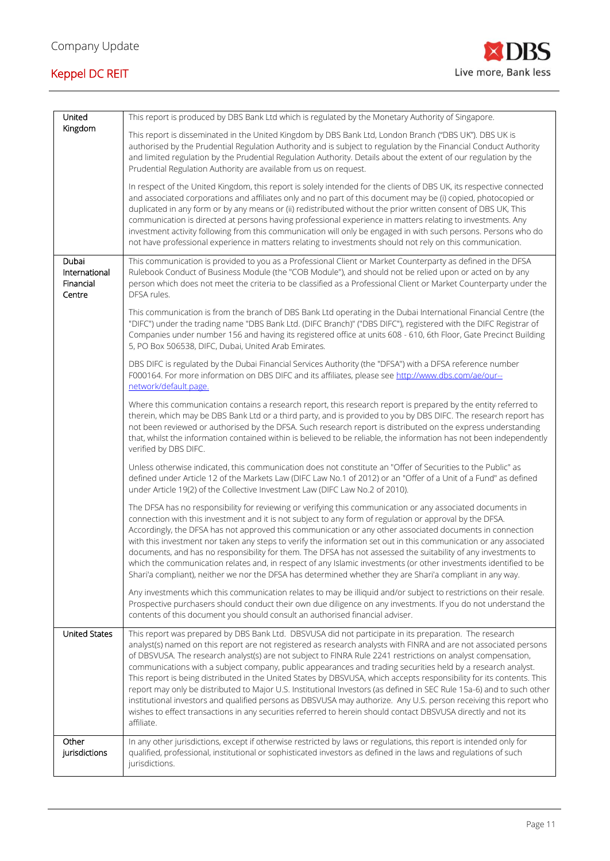

| United                                        | This report is produced by DBS Bank Ltd which is regulated by the Monetary Authority of Singapore.                                                                                                                                                                                                                                                                                                                                                                                                                                                                                                                                                                                                                                                                                                                                                                                                                                                                 |
|-----------------------------------------------|--------------------------------------------------------------------------------------------------------------------------------------------------------------------------------------------------------------------------------------------------------------------------------------------------------------------------------------------------------------------------------------------------------------------------------------------------------------------------------------------------------------------------------------------------------------------------------------------------------------------------------------------------------------------------------------------------------------------------------------------------------------------------------------------------------------------------------------------------------------------------------------------------------------------------------------------------------------------|
| Kingdom                                       | This report is disseminated in the United Kingdom by DBS Bank Ltd, London Branch ("DBS UK"). DBS UK is<br>authorised by the Prudential Regulation Authority and is subject to regulation by the Financial Conduct Authority<br>and limited regulation by the Prudential Regulation Authority. Details about the extent of our regulation by the<br>Prudential Regulation Authority are available from us on request.                                                                                                                                                                                                                                                                                                                                                                                                                                                                                                                                               |
|                                               | In respect of the United Kingdom, this report is solely intended for the clients of DBS UK, its respective connected<br>and associated corporations and affiliates only and no part of this document may be (i) copied, photocopied or<br>duplicated in any form or by any means or (ii) redistributed without the prior written consent of DBS UK, This<br>communication is directed at persons having professional experience in matters relating to investments. Any<br>investment activity following from this communication will only be engaged in with such persons. Persons who do<br>not have professional experience in matters relating to investments should not rely on this communication.                                                                                                                                                                                                                                                           |
| Dubai<br>International<br>Financial<br>Centre | This communication is provided to you as a Professional Client or Market Counterparty as defined in the DFSA<br>Rulebook Conduct of Business Module (the "COB Module"), and should not be relied upon or acted on by any<br>person which does not meet the criteria to be classified as a Professional Client or Market Counterparty under the<br>DFSA rules.                                                                                                                                                                                                                                                                                                                                                                                                                                                                                                                                                                                                      |
|                                               | This communication is from the branch of DBS Bank Ltd operating in the Dubai International Financial Centre (the<br>"DIFC") under the trading name "DBS Bank Ltd. (DIFC Branch)" ("DBS DIFC"), registered with the DIFC Registrar of<br>Companies under number 156 and having its registered office at units 608 - 610, 6th Floor, Gate Precinct Building<br>5, PO Box 506538, DIFC, Dubai, United Arab Emirates.                                                                                                                                                                                                                                                                                                                                                                                                                                                                                                                                                  |
|                                               | DBS DIFC is regulated by the Dubai Financial Services Authority (the "DFSA") with a DFSA reference number<br>F000164. For more information on DBS DIFC and its affiliates, please see http://www.dbs.com/ae/our--<br>network/default.page.                                                                                                                                                                                                                                                                                                                                                                                                                                                                                                                                                                                                                                                                                                                         |
|                                               | Where this communication contains a research report, this research report is prepared by the entity referred to<br>therein, which may be DBS Bank Ltd or a third party, and is provided to you by DBS DIFC. The research report has<br>not been reviewed or authorised by the DFSA. Such research report is distributed on the express understanding<br>that, whilst the information contained within is believed to be reliable, the information has not been independently<br>verified by DBS DIFC.                                                                                                                                                                                                                                                                                                                                                                                                                                                              |
|                                               | Unless otherwise indicated, this communication does not constitute an "Offer of Securities to the Public" as<br>defined under Article 12 of the Markets Law (DIFC Law No.1 of 2012) or an "Offer of a Unit of a Fund" as defined<br>under Article 19(2) of the Collective Investment Law (DIFC Law No.2 of 2010).                                                                                                                                                                                                                                                                                                                                                                                                                                                                                                                                                                                                                                                  |
|                                               | The DFSA has no responsibility for reviewing or verifying this communication or any associated documents in<br>connection with this investment and it is not subject to any form of regulation or approval by the DFSA.<br>Accordingly, the DFSA has not approved this communication or any other associated documents in connection<br>with this investment nor taken any steps to verify the information set out in this communication or any associated<br>documents, and has no responsibility for them. The DFSA has not assessed the suitability of any investments to<br>which the communication relates and, in respect of any Islamic investments (or other investments identified to be<br>Shari'a compliant), neither we nor the DFSA has determined whether they are Shari'a compliant in any way.                                                                                                                                                     |
|                                               | Any investments which this communication relates to may be illiquid and/or subject to restrictions on their resale.<br>Prospective purchasers should conduct their own due diligence on any investments. If you do not understand the<br>contents of this document you should consult an authorised financial adviser.                                                                                                                                                                                                                                                                                                                                                                                                                                                                                                                                                                                                                                             |
| <b>United States</b>                          | This report was prepared by DBS Bank Ltd. DBSVUSA did not participate in its preparation. The research<br>analyst(s) named on this report are not registered as research analysts with FINRA and are not associated persons<br>of DBSVUSA. The research analyst(s) are not subject to FINRA Rule 2241 restrictions on analyst compensation,<br>communications with a subject company, public appearances and trading securities held by a research analyst.<br>This report is being distributed in the United States by DBSVUSA, which accepts responsibility for its contents. This<br>report may only be distributed to Major U.S. Institutional Investors (as defined in SEC Rule 15a-6) and to such other<br>institutional investors and qualified persons as DBSVUSA may authorize. Any U.S. person receiving this report who<br>wishes to effect transactions in any securities referred to herein should contact DBSVUSA directly and not its<br>affiliate. |
| Other<br>jurisdictions                        | In any other jurisdictions, except if otherwise restricted by laws or regulations, this report is intended only for<br>qualified, professional, institutional or sophisticated investors as defined in the laws and regulations of such<br>jurisdictions.                                                                                                                                                                                                                                                                                                                                                                                                                                                                                                                                                                                                                                                                                                          |